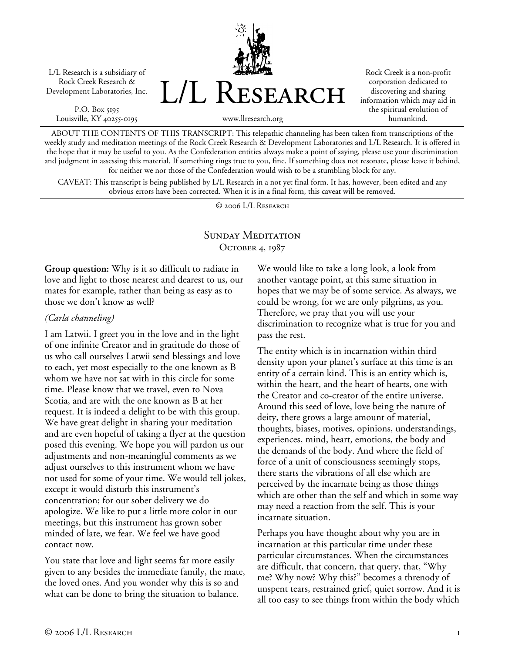L/L Research is a subsidiary of Rock Creek Research & Development Laboratories, Inc.

P.O. Box 5195 Louisville, KY 40255-0195



Rock Creek is a non-profit corporation dedicated to discovering and sharing information which may aid in the spiritual evolution of humankind.

www.llresearch.org

ABOUT THE CONTENTS OF THIS TRANSCRIPT: This telepathic channeling has been taken from transcriptions of the weekly study and meditation meetings of the Rock Creek Research & Development Laboratories and L/L Research. It is offered in the hope that it may be useful to you. As the Confederation entities always make a point of saying, please use your discrimination and judgment in assessing this material. If something rings true to you, fine. If something does not resonate, please leave it behind, for neither we nor those of the Confederation would wish to be a stumbling block for any.

CAVEAT: This transcript is being published by L/L Research in a not yet final form. It has, however, been edited and any obvious errors have been corrected. When it is in a final form, this caveat will be removed.

© 2006 L/L Research

# SUNDAY MEDITATION OCTOBER 4, 1987

**Group question:** Why is it so difficult to radiate in love and light to those nearest and dearest to us, our mates for example, rather than being as easy as to those we don't know as well?

### *(Carla channeling)*

I am Latwii. I greet you in the love and in the light of one infinite Creator and in gratitude do those of us who call ourselves Latwii send blessings and love to each, yet most especially to the one known as B whom we have not sat with in this circle for some time. Please know that we travel, even to Nova Scotia, and are with the one known as B at her request. It is indeed a delight to be with this group. We have great delight in sharing your meditation and are even hopeful of taking a flyer at the question posed this evening. We hope you will pardon us our adjustments and non-meaningful comments as we adjust ourselves to this instrument whom we have not used for some of your time. We would tell jokes, except it would disturb this instrument's concentration; for our sober delivery we do apologize. We like to put a little more color in our meetings, but this instrument has grown sober minded of late, we fear. We feel we have good contact now.

You state that love and light seems far more easily given to any besides the immediate family, the mate, the loved ones. And you wonder why this is so and what can be done to bring the situation to balance.

We would like to take a long look, a look from another vantage point, at this same situation in hopes that we may be of some service. As always, we could be wrong, for we are only pilgrims, as you. Therefore, we pray that you will use your discrimination to recognize what is true for you and pass the rest.

The entity which is in incarnation within third density upon your planet's surface at this time is an entity of a certain kind. This is an entity which is, within the heart, and the heart of hearts, one with the Creator and co-creator of the entire universe. Around this seed of love, love being the nature of deity, there grows a large amount of material, thoughts, biases, motives, opinions, understandings, experiences, mind, heart, emotions, the body and the demands of the body. And where the field of force of a unit of consciousness seemingly stops, there starts the vibrations of all else which are perceived by the incarnate being as those things which are other than the self and which in some way may need a reaction from the self. This is your incarnate situation.

Perhaps you have thought about why you are in incarnation at this particular time under these particular circumstances. When the circumstances are difficult, that concern, that query, that, "Why me? Why now? Why this?" becomes a threnody of unspent tears, restrained grief, quiet sorrow. And it is all too easy to see things from within the body which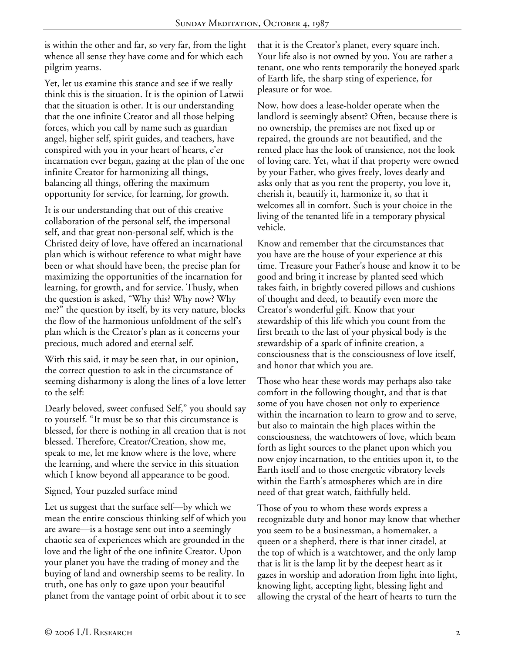is within the other and far, so very far, from the light whence all sense they have come and for which each pilgrim yearns.

Yet, let us examine this stance and see if we really think this is the situation. It is the opinion of Latwii that the situation is other. It is our understanding that the one infinite Creator and all those helping forces, which you call by name such as guardian angel, higher self, spirit guides, and teachers, have conspired with you in your heart of hearts, e'er incarnation ever began, gazing at the plan of the one infinite Creator for harmonizing all things, balancing all things, offering the maximum opportunity for service, for learning, for growth.

It is our understanding that out of this creative collaboration of the personal self, the impersonal self, and that great non-personal self, which is the Christed deity of love, have offered an incarnational plan which is without reference to what might have been or what should have been, the precise plan for maximizing the opportunities of the incarnation for learning, for growth, and for service. Thusly, when the question is asked, "Why this? Why now? Why me?" the question by itself, by its very nature, blocks the flow of the harmonious unfoldment of the self's plan which is the Creator's plan as it concerns your precious, much adored and eternal self.

With this said, it may be seen that, in our opinion, the correct question to ask in the circumstance of seeming disharmony is along the lines of a love letter to the self:

Dearly beloved, sweet confused Self," you should say to yourself. "It must be so that this circumstance is blessed, for there is nothing in all creation that is not blessed. Therefore, Creator/Creation, show me, speak to me, let me know where is the love, where the learning, and where the service in this situation which I know beyond all appearance to be good.

#### Signed, Your puzzled surface mind

Let us suggest that the surface self—by which we mean the entire conscious thinking self of which you are aware—is a hostage sent out into a seemingly chaotic sea of experiences which are grounded in the love and the light of the one infinite Creator. Upon your planet you have the trading of money and the buying of land and ownership seems to be reality. In truth, one has only to gaze upon your beautiful planet from the vantage point of orbit about it to see that it is the Creator's planet, every square inch. Your life also is not owned by you. You are rather a tenant, one who rents temporarily the honeyed spark of Earth life, the sharp sting of experience, for pleasure or for woe.

Now, how does a lease-holder operate when the landlord is seemingly absent? Often, because there is no ownership, the premises are not fixed up or repaired, the grounds are not beautified, and the rented place has the look of transience, not the look of loving care. Yet, what if that property were owned by your Father, who gives freely, loves dearly and asks only that as you rent the property, you love it, cherish it, beautify it, harmonize it, so that it welcomes all in comfort. Such is your choice in the living of the tenanted life in a temporary physical vehicle.

Know and remember that the circumstances that you have are the house of your experience at this time. Treasure your Father's house and know it to be good and bring it increase by planted seed which takes faith, in brightly covered pillows and cushions of thought and deed, to beautify even more the Creator's wonderful gift. Know that your stewardship of this life which you count from the first breath to the last of your physical body is the stewardship of a spark of infinite creation, a consciousness that is the consciousness of love itself, and honor that which you are.

Those who hear these words may perhaps also take comfort in the following thought, and that is that some of you have chosen not only to experience within the incarnation to learn to grow and to serve, but also to maintain the high places within the consciousness, the watchtowers of love, which beam forth as light sources to the planet upon which you now enjoy incarnation, to the entities upon it, to the Earth itself and to those energetic vibratory levels within the Earth's atmospheres which are in dire need of that great watch, faithfully held.

Those of you to whom these words express a recognizable duty and honor may know that whether you seem to be a businessman, a homemaker, a queen or a shepherd, there is that inner citadel, at the top of which is a watchtower, and the only lamp that is lit is the lamp lit by the deepest heart as it gazes in worship and adoration from light into light, knowing light, accepting light, blessing light and allowing the crystal of the heart of hearts to turn the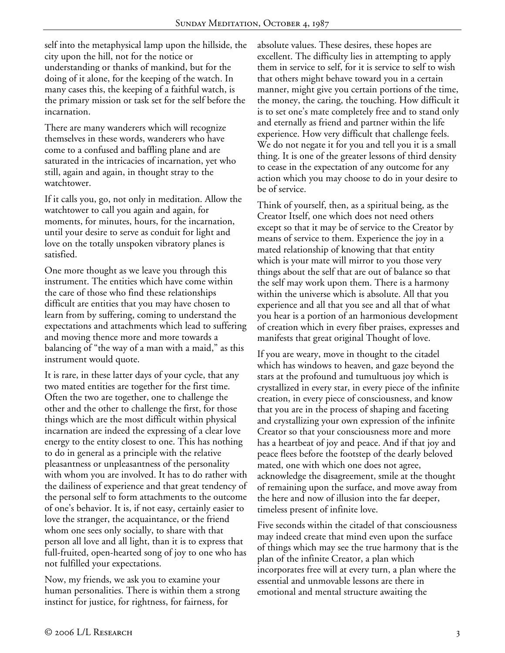self into the metaphysical lamp upon the hillside, the city upon the hill, not for the notice or understanding or thanks of mankind, but for the doing of it alone, for the keeping of the watch. In many cases this, the keeping of a faithful watch, is the primary mission or task set for the self before the incarnation.

There are many wanderers which will recognize themselves in these words, wanderers who have come to a confused and baffling plane and are saturated in the intricacies of incarnation, yet who still, again and again, in thought stray to the watchtower.

If it calls you, go, not only in meditation. Allow the watchtower to call you again and again, for moments, for minutes, hours, for the incarnation, until your desire to serve as conduit for light and love on the totally unspoken vibratory planes is satisfied.

One more thought as we leave you through this instrument. The entities which have come within the care of those who find these relationships difficult are entities that you may have chosen to learn from by suffering, coming to understand the expectations and attachments which lead to suffering and moving thence more and more towards a balancing of "the way of a man with a maid," as this instrument would quote.

It is rare, in these latter days of your cycle, that any two mated entities are together for the first time. Often the two are together, one to challenge the other and the other to challenge the first, for those things which are the most difficult within physical incarnation are indeed the expressing of a clear love energy to the entity closest to one. This has nothing to do in general as a principle with the relative pleasantness or unpleasantness of the personality with whom you are involved. It has to do rather with the dailiness of experience and that great tendency of the personal self to form attachments to the outcome of one's behavior. It is, if not easy, certainly easier to love the stranger, the acquaintance, or the friend whom one sees only socially, to share with that person all love and all light, than it is to express that full-fruited, open-hearted song of joy to one who has not fulfilled your expectations.

Now, my friends, we ask you to examine your human personalities. There is within them a strong instinct for justice, for rightness, for fairness, for

absolute values. These desires, these hopes are excellent. The difficulty lies in attempting to apply them in service to self, for it is service to self to wish that others might behave toward you in a certain manner, might give you certain portions of the time, the money, the caring, the touching. How difficult it is to set one's mate completely free and to stand only and eternally as friend and partner within the life experience. How very difficult that challenge feels. We do not negate it for you and tell you it is a small thing. It is one of the greater lessons of third density to cease in the expectation of any outcome for any action which you may choose to do in your desire to be of service.

Think of yourself, then, as a spiritual being, as the Creator Itself, one which does not need others except so that it may be of service to the Creator by means of service to them. Experience the joy in a mated relationship of knowing that that entity which is your mate will mirror to you those very things about the self that are out of balance so that the self may work upon them. There is a harmony within the universe which is absolute. All that you experience and all that you see and all that of what you hear is a portion of an harmonious development of creation which in every fiber praises, expresses and manifests that great original Thought of love.

If you are weary, move in thought to the citadel which has windows to heaven, and gaze beyond the stars at the profound and tumultuous joy which is crystallized in every star, in every piece of the infinite creation, in every piece of consciousness, and know that you are in the process of shaping and faceting and crystallizing your own expression of the infinite Creator so that your consciousness more and more has a heartbeat of joy and peace. And if that joy and peace flees before the footstep of the dearly beloved mated, one with which one does not agree, acknowledge the disagreement, smile at the thought of remaining upon the surface, and move away from the here and now of illusion into the far deeper, timeless present of infinite love.

Five seconds within the citadel of that consciousness may indeed create that mind even upon the surface of things which may see the true harmony that is the plan of the infinite Creator, a plan which incorporates free will at every turn, a plan where the essential and unmovable lessons are there in emotional and mental structure awaiting the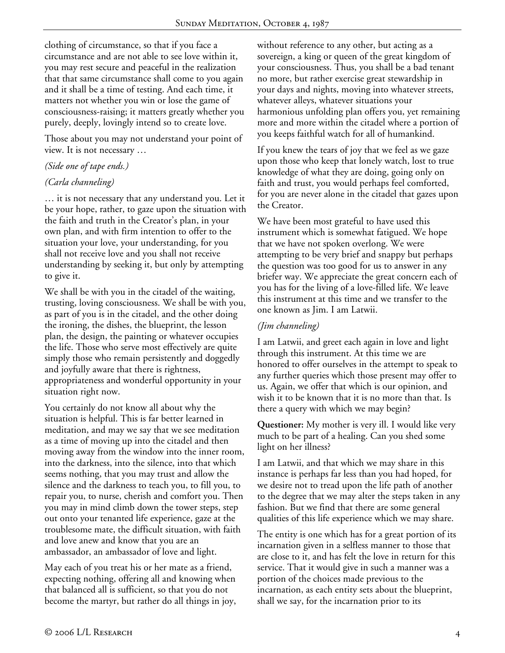clothing of circumstance, so that if you face a circumstance and are not able to see love within it, you may rest secure and peaceful in the realization that that same circumstance shall come to you again and it shall be a time of testing. And each time, it matters not whether you win or lose the game of consciousness-raising; it matters greatly whether you purely, deeply, lovingly intend so to create love.

Those about you may not understand your point of view. It is not necessary …

### *(Side one of tape ends.)*

### *(Carla channeling)*

… it is not necessary that any understand you. Let it be your hope, rather, to gaze upon the situation with the faith and truth in the Creator's plan, in your own plan, and with firm intention to offer to the situation your love, your understanding, for you shall not receive love and you shall not receive understanding by seeking it, but only by attempting to give it.

We shall be with you in the citadel of the waiting, trusting, loving consciousness. We shall be with you, as part of you is in the citadel, and the other doing the ironing, the dishes, the blueprint, the lesson plan, the design, the painting or whatever occupies the life. Those who serve most effectively are quite simply those who remain persistently and doggedly and joyfully aware that there is rightness, appropriateness and wonderful opportunity in your situation right now.

You certainly do not know all about why the situation is helpful. This is far better learned in meditation, and may we say that we see meditation as a time of moving up into the citadel and then moving away from the window into the inner room, into the darkness, into the silence, into that which seems nothing, that you may trust and allow the silence and the darkness to teach you, to fill you, to repair you, to nurse, cherish and comfort you. Then you may in mind climb down the tower steps, step out onto your tenanted life experience, gaze at the troublesome mate, the difficult situation, with faith and love anew and know that you are an ambassador, an ambassador of love and light.

May each of you treat his or her mate as a friend, expecting nothing, offering all and knowing when that balanced all is sufficient, so that you do not become the martyr, but rather do all things in joy, without reference to any other, but acting as a sovereign, a king or queen of the great kingdom of your consciousness. Thus, you shall be a bad tenant no more, but rather exercise great stewardship in your days and nights, moving into whatever streets, whatever alleys, whatever situations your harmonious unfolding plan offers you, yet remaining more and more within the citadel where a portion of you keeps faithful watch for all of humankind.

If you knew the tears of joy that we feel as we gaze upon those who keep that lonely watch, lost to true knowledge of what they are doing, going only on faith and trust, you would perhaps feel comforted, for you are never alone in the citadel that gazes upon the Creator.

We have been most grateful to have used this instrument which is somewhat fatigued. We hope that we have not spoken overlong. We were attempting to be very brief and snappy but perhaps the question was too good for us to answer in any briefer way. We appreciate the great concern each of you has for the living of a love-filled life. We leave this instrument at this time and we transfer to the one known as Jim. I am Latwii.

## *(Jim channeling)*

I am Latwii, and greet each again in love and light through this instrument. At this time we are honored to offer ourselves in the attempt to speak to any further queries which those present may offer to us. Again, we offer that which is our opinion, and wish it to be known that it is no more than that. Is there a query with which we may begin?

**Questioner:** My mother is very ill. I would like very much to be part of a healing. Can you shed some light on her illness?

I am Latwii, and that which we may share in this instance is perhaps far less than you had hoped, for we desire not to tread upon the life path of another to the degree that we may alter the steps taken in any fashion. But we find that there are some general qualities of this life experience which we may share.

The entity is one which has for a great portion of its incarnation given in a selfless manner to those that are close to it, and has felt the love in return for this service. That it would give in such a manner was a portion of the choices made previous to the incarnation, as each entity sets about the blueprint, shall we say, for the incarnation prior to its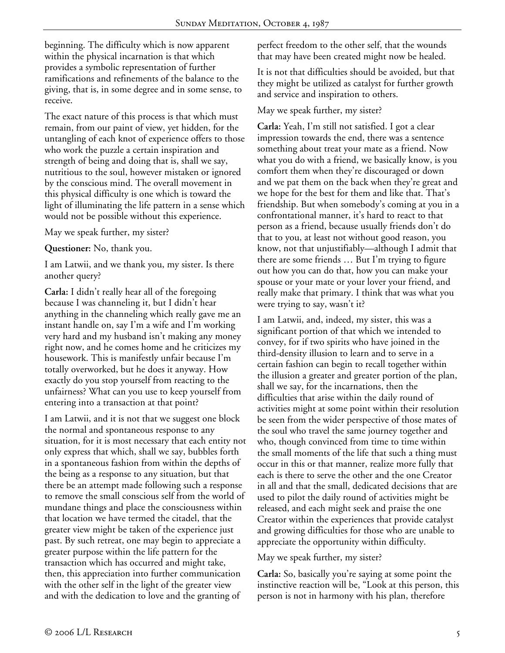beginning. The difficulty which is now apparent within the physical incarnation is that which provides a symbolic representation of further ramifications and refinements of the balance to the giving, that is, in some degree and in some sense, to receive.

The exact nature of this process is that which must remain, from our paint of view, yet hidden, for the untangling of each knot of experience offers to those who work the puzzle a certain inspiration and strength of being and doing that is, shall we say, nutritious to the soul, however mistaken or ignored by the conscious mind. The overall movement in this physical difficulty is one which is toward the light of illuminating the life pattern in a sense which would not be possible without this experience.

May we speak further, my sister?

**Questioner:** No, thank you.

I am Latwii, and we thank you, my sister. Is there another query?

**Carla:** I didn't really hear all of the foregoing because I was channeling it, but I didn't hear anything in the channeling which really gave me an instant handle on, say I'm a wife and I'm working very hard and my husband isn't making any money right now, and he comes home and he criticizes my housework. This is manifestly unfair because I'm totally overworked, but he does it anyway. How exactly do you stop yourself from reacting to the unfairness? What can you use to keep yourself from entering into a transaction at that point?

I am Latwii, and it is not that we suggest one block the normal and spontaneous response to any situation, for it is most necessary that each entity not only express that which, shall we say, bubbles forth in a spontaneous fashion from within the depths of the being as a response to any situation, but that there be an attempt made following such a response to remove the small conscious self from the world of mundane things and place the consciousness within that location we have termed the citadel, that the greater view might be taken of the experience just past. By such retreat, one may begin to appreciate a greater purpose within the life pattern for the transaction which has occurred and might take, then, this appreciation into further communication with the other self in the light of the greater view and with the dedication to love and the granting of

perfect freedom to the other self, that the wounds that may have been created might now be healed.

It is not that difficulties should be avoided, but that they might be utilized as catalyst for further growth and service and inspiration to others.

#### May we speak further, my sister?

**Carla:** Yeah, I'm still not satisfied. I got a clear impression towards the end, there was a sentence something about treat your mate as a friend. Now what you do with a friend, we basically know, is you comfort them when they're discouraged or down and we pat them on the back when they're great and we hope for the best for them and like that. That's friendship. But when somebody's coming at you in a confrontational manner, it's hard to react to that person as a friend, because usually friends don't do that to you, at least not without good reason, you know, not that unjustifiably—although I admit that there are some friends … But I'm trying to figure out how you can do that, how you can make your spouse or your mate or your lover your friend, and really make that primary. I think that was what you were trying to say, wasn't it?

I am Latwii, and, indeed, my sister, this was a significant portion of that which we intended to convey, for if two spirits who have joined in the third-density illusion to learn and to serve in a certain fashion can begin to recall together within the illusion a greater and greater portion of the plan, shall we say, for the incarnations, then the difficulties that arise within the daily round of activities might at some point within their resolution be seen from the wider perspective of those mates of the soul who travel the same journey together and who, though convinced from time to time within the small moments of the life that such a thing must occur in this or that manner, realize more fully that each is there to serve the other and the one Creator in all and that the small, dedicated decisions that are used to pilot the daily round of activities might be released, and each might seek and praise the one Creator within the experiences that provide catalyst and growing difficulties for those who are unable to appreciate the opportunity within difficulty.

May we speak further, my sister?

**Carla:** So, basically you're saying at some point the instinctive reaction will be, "Look at this person, this person is not in harmony with his plan, therefore